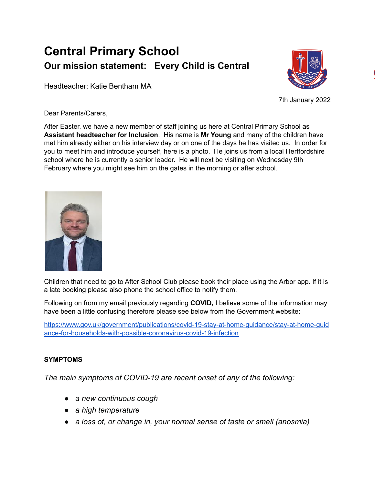## **Central Primary School Our mission statement: Every Child is Central**

Headteacher: Katie Bentham MA



7th January 2022

Dear Parents/Carers,

After Easter, we have a new member of staff joining us here at Central Primary School as **Assistant headteacher for Inclusion**. His name is **Mr Young** and many of the children have met him already either on his interview day or on one of the days he has visited us. In order for you to meet him and introduce yourself, here is a photo. He joins us from a local Hertfordshire school where he is currently a senior leader. He will next be visiting on Wednesday 9th February where you might see him on the gates in the morning or after school.



Children that need to go to After School Club please book their place using the Arbor app. If it is a late booking please also phone the school office to notify them.

Following on from my email previously regarding **COVID,** I believe some of the information may have been a little confusing therefore please see below from the Government website:

[https://www.gov.uk/government/publications/covid-19-stay-at-home-guidance/stay-at-home-guid](https://www.gov.uk/government/publications/covid-19-stay-at-home-guidance/stay-at-home-guidance-for-households-with-possible-coronavirus-covid-19-infection) [ance-for-households-with-possible-coronavirus-covid-19-infection](https://www.gov.uk/government/publications/covid-19-stay-at-home-guidance/stay-at-home-guidance-for-households-with-possible-coronavirus-covid-19-infection)

## **SYMPTOMS**

*The main symptoms of COVID-19 are recent onset of any of the following:*

- *● a new continuous cough*
- *● a high temperature*
- *● a loss of, or change in, your normal sense of taste or smell (anosmia)*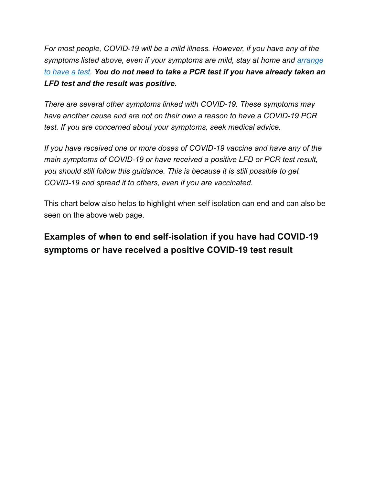*For most people, COVID-19 will be a mild illness. However, if you have any of the symptoms listed above, even if your symptoms are mild, stay at home and [arrange](https://www.gov.uk/get-coronavirus-test) to [have](https://www.gov.uk/get-coronavirus-test) a test. You do not need to take a PCR test if you have already taken an LFD test and the result was positive.*

*There are several other symptoms linked with COVID-19. These symptoms may have another cause and are not on their own a reason to have a COVID-19 PCR test. If you are concerned about your symptoms, seek medical advice.*

*If you have received one or more doses of COVID-19 vaccine and have any of the main symptoms of COVID-19 or have received a positive LFD or PCR test result, you should still follow this guidance. This is because it is still possible to get COVID-19 and spread it to others, even if you are vaccinated.*

This chart below also helps to highlight when self isolation can end and can also be seen on the above web page.

## **Examples of when to end self-isolation if you have had COVID-19 symptoms or have received a positive COVID-19 test result**